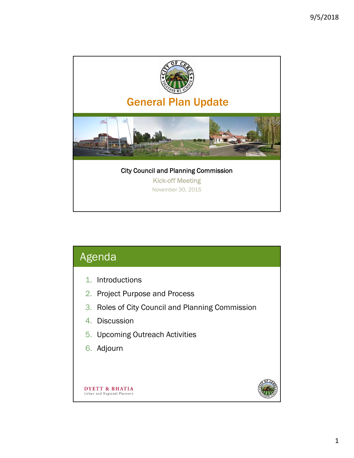

| Agenda                                                                                                                                                                   |  |
|--------------------------------------------------------------------------------------------------------------------------------------------------------------------------|--|
| 1. Introductions<br>2. Project Purpose and Process<br>3. Roles of City Council and Planning Commission<br>4. Discussion<br>5. Upcoming Outreach Activities<br>6. Adjourn |  |
| DYETT & BHATIA<br>Urban and Regional Planners                                                                                                                            |  |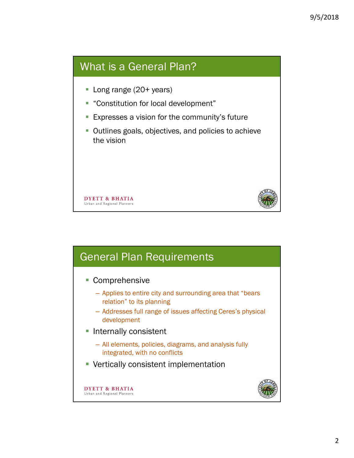### What is a General Plan?

- Long range (20+ years)
- "Constitution for local development"
- **Expresses a vision for the community's future**
- Outlines goals, objectives, and policies to achieve the vision



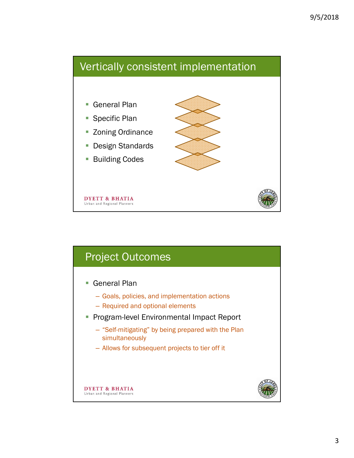## Vertically consistent implementation

- General Plan
- Specific Plan
- **EX 2011** Zoning Ordinance
- Design Standards
- Building Codes



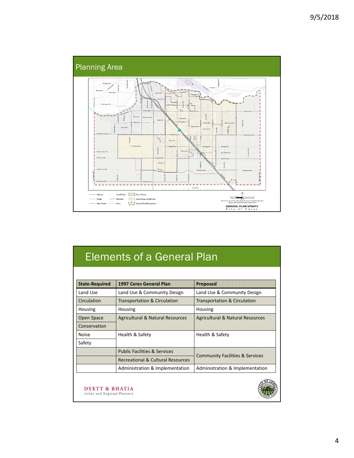

# Elements of a General Plan

| <b>State-Required</b> | 1997 Ceres General Plan                                                                    | <b>Proposed</b>                            |  |
|-----------------------|--------------------------------------------------------------------------------------------|--------------------------------------------|--|
| Land Use              | Land Use & Community Design                                                                | Land Use & Community Design                |  |
| Circulation           | <b>Transportation &amp; Circulation</b>                                                    | <b>Transportation &amp; Circulation</b>    |  |
| Housing               | Housing                                                                                    | Housing                                    |  |
| Open Space            | <b>Agricultural &amp; Natural Resources</b><br><b>Agricultural &amp; Natural Resources</b> |                                            |  |
| Conservation          |                                                                                            |                                            |  |
| <b>Noise</b>          | Health & Safety                                                                            | Health & Safety                            |  |
| Safety                |                                                                                            |                                            |  |
|                       | <b>Public Facilities &amp; Services</b>                                                    |                                            |  |
|                       | Recreational & Cultural Resources                                                          | <b>Community Facilities &amp; Services</b> |  |
|                       | Administration & Implementation                                                            | Administration & Implementation            |  |

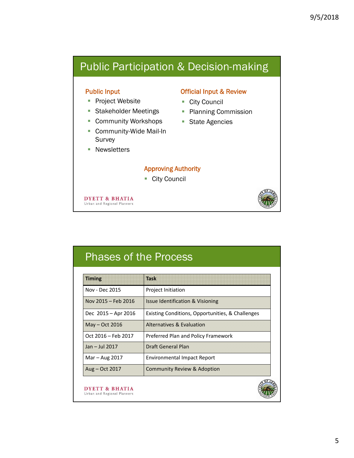## Public Participation & Decision-making

#### Public Input

- Project Website
- **Stakeholder Meetings**
- **Community Workshops**
- Community-Wide Mail-In Survey
- **Newsletters**

#### Official Input & Review

- City Council
- Planning Commission
- **State Agencies**

#### Approving Authority

■ City Council

**DYETT & BHATIA** Urban and Regional Planners



## Phases of the Process

| Project Initiation<br>Issue Identification & Visioning<br>Existing Conditions, Opportunities, & Challenges<br>Alternatives & Evaluation |
|-----------------------------------------------------------------------------------------------------------------------------------------|
|                                                                                                                                         |
|                                                                                                                                         |
|                                                                                                                                         |
|                                                                                                                                         |
| Preferred Plan and Policy Framework                                                                                                     |
| Draft General Plan                                                                                                                      |
| <b>Environmental Impact Report</b>                                                                                                      |
| Community Review & Adoption                                                                                                             |
|                                                                                                                                         |

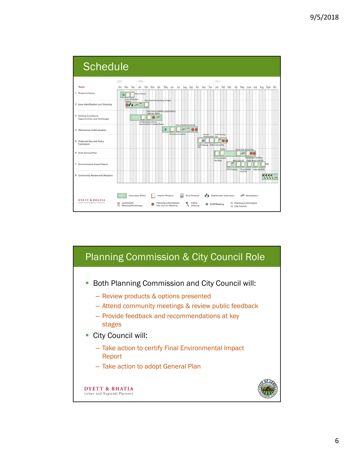

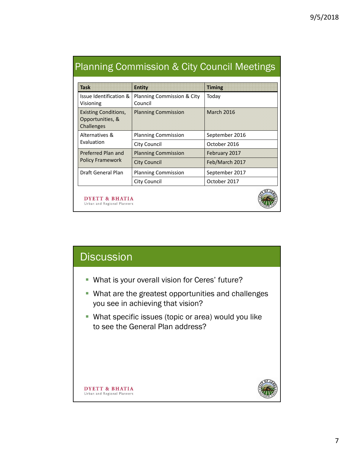| <b>Task</b>                                                   | <b>Entity</b>                         | <b>Timing</b>     |
|---------------------------------------------------------------|---------------------------------------|-------------------|
| Issue Identification &<br>Visioning                           | Planning Commission & City<br>Council | Today             |
| <b>Existing Conditions,</b><br>Opportunities, &<br>Challenges | <b>Planning Commission</b>            | <b>March 2016</b> |
| Alternatives &<br>Evaluation                                  | <b>Planning Commission</b>            | September 2016    |
|                                                               | City Council                          | October 2016      |
| Preferred Plan and<br><b>Policy Framework</b>                 | <b>Planning Commission</b>            | February 2017     |
|                                                               | <b>City Council</b>                   | Feb/March 2017    |
| Draft General Plan                                            | <b>Planning Commission</b>            | September 2017    |
|                                                               | City Council                          | October 2017      |
| DYETT & BHATIA<br>Urban and Regional Planners                 |                                       |                   |

### Planning Commission & City Council Meetings

| <b>Discussion</b>                                                                         |
|-------------------------------------------------------------------------------------------|
| • What is your overall vision for Ceres' future?                                          |
| • What are the greatest opportunities and challenges<br>you see in achieving that vision? |

**What specific issues (topic or area) would you like** to see the General Plan address?